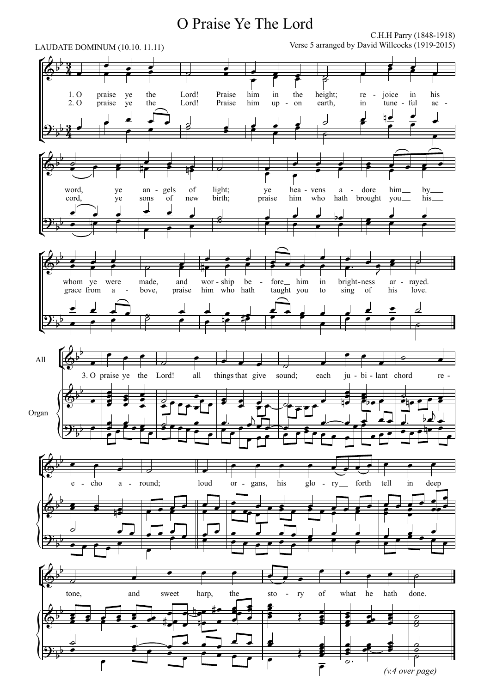## O Praise Ye The Lord